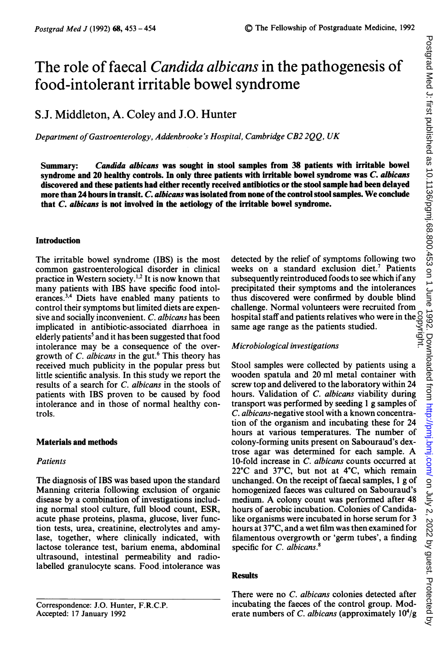# The role of faecal *Candida albicans* in the pathogenesis of food-intolerant irritable bowel syndrome

## S.J. Middleton, A. Coley and J.O. Hunter

Department ofGastroenterology, Addenbrooke's Hospital, Cambridge CB2 2QQ, UK

Summary: Candida albicans was sought in stool samples from 38 patients with irritable bowel syndrome and 20 healthy controls. In only three patients with irritable bowel syndrome was C. albicans discovered and these patients had either recently received antibiotics or the stool sample had been delayed more than 24 hours in transit. C. albicans was isolated from none of the control stool samples. We conclude that C. albicans is not involved in the aetiology of the irritable bowel syndrome.

#### Introduction

The irritable bowel syndrome (IBS) is the most common gastroenterological disorder in clinical practice in Western society.<sup>1,2</sup> It is now known that many patients with IBS have specific food intolerances.3'4 Diets have enabled many patients to control their symptoms but limited diets are expensive and socially inconvenient. C. albicans has been implicated in antibiotic-associated diarrhoea in elderly patients<sup>5</sup> and it has been suggested that food intolerance may be a consequence of the overgrowth of  $C$ . albicans in the gut.<sup>6</sup> This theory has received much publicity in the popular press but little scientific analysis. In this study we report the results of a search for C. albicans in the stools of patients with IBS proven to be caused by food intolerance and in those of normal healthy controls.

### Materials and methods

#### Patients

The diagnosis of IBS was based upon the standard Manning criteria following exclusion of organic disease by a combination of investigations including normal stool culture, full blood count, ESR, acute phase proteins, plasma, glucose, liver function tests, urea, creatinine, electrolytes and amylase, together, where clinically indicated, with lactose tolerance test, barium enema, abdominal ultrasound, intestinal permeability and radiolabelled granulocyte scans. Food. intolerance was

Correspondence: J.O. Hunter, F.R.C.P. Accepted: 17 January 1992

detected by the relief of symptoms following two weeks on a standard exclusion diet.<sup>7</sup> Patients subsequently reintroduced foods to see which if any precipitated their symptoms and the intolerances thus discovered were confirmed by double blind challenge. Normal volunteers were recruited from hospital staff and patients relatives who were in the same age range as the patients studied. hospital staff and patients relatives who were in the  $\frac{8}{8}$ <br>same age range as the patients studied.<br>Microbiological investigations

Stool samples were collected by patients using a wooden spatula and 20 ml metal container with screw top and delivered to the laboratory within 24 hours. Validation of C. albicans viability during transport was performed by seeding <sup>1</sup> g samples of C. albicans-negative stool with a known concentration of the organism and incubating these for 24 hours at various temperatures. The number of colony-forming units present on Sabouraud's dextrose agar was determined for each sample. A 10-fold increase in C. albicans counts occurred at 22°C and 37°C, but not at 4°C, which remain unchanged. On the receipt of faecal samples, <sup>1</sup> g of homogenized faeces was cultured on Sabouraud's medium. A colony count was performed after <sup>48</sup> hours of aerobic incubation. Colonies of Candidalike organisms were incubated in horse serum for 3 hours at 37°C, and a wet film was then examined for filamentous overgrowth or 'germ tubes', a finding specific for C. albicans.<sup>8</sup>

### Results

There were no C. albicans colonies detected after incubating the faeces of the control group. Moderate numbers of C. albicans (approximately  $10^4/g$